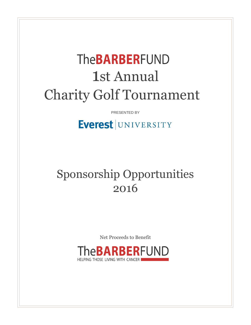# **TheBARBERFUND** 1st Annual Charity Golf Tournament

PRESENTED BY

## Everest UNIVERSITY

## Sponsorship Opportunities 2016

Net Proceeds to Benefit

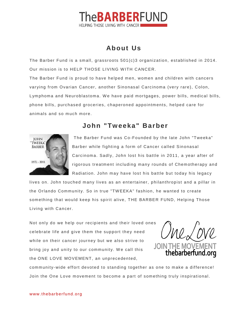### **eBARBERFUND** HELPING THOSE LIVING WITH CANCER

#### **About Us**

The Barber Fund is a small, grassroots 501(c)3 organization, established in 2014. Our mission is to HELP THOSE LIVING WITH CANCER.

The Barber Fund is proud to have helped men, women and children with cancers varying from Ovarian Cancer, another Sinonasal Carcinoma (very rare), Colon, Lymphoma and Neuroblastoma. We have paid mortgages, power bills, medical bills, phone bills, purchased groceries, chaperoned appointments, helped care for anim als and so m uch m ore.

#### **John "Tw eeka" Barber**



The Barber Fund was Co-Founded by the late John "Tweeka" Barber while fighting a form of Cancer called Sinonasal Carcinom a. Sadly, John lost his battle in 2011, a year after of rigorous treatment including many rounds of Chemotherapy and Radiation. John may have lost his battle but today his legacy

lives on. John touched m any lives as an entertainer, philanthropist and a pillar in the Orlando Comm unity. So in true "TW EEKA" fashion, he wanted to create som ething that would keep his spirit alive, THE BARBER FUND, Helping Those Living with Cancer.

Not only do we help our recipients and their loved ones celebrate life and give them the support they need while on their cancer journey but we also strive to bring joy and unity to our community. We call this the ONE LOVE MOVEMENT, an unprecedented,



comm unity-wide effort devoted to standing together as one to m ake a difference! Join the One Love movement to become a part of something truly inspirational.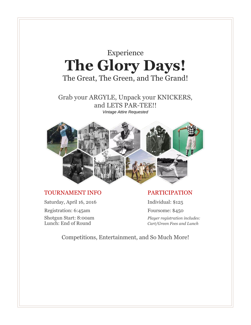

Registration: 6:45am Foursome: \$450

Shotgun Start: 8:00am *Player registration includes:* Lunch: End of Round *Cart/Green Fees and Lunch*

Competitions, Entertainment, and So Much More!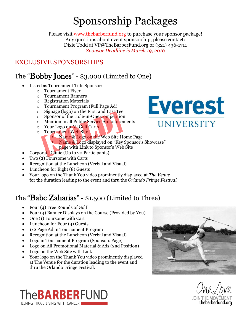## Sponsorship Packages

Please visit [www.thebarberfund.org](http://www.thebarbefund.org/) to purchase your sponsor package! Any questions about event sponsorship, please contact: Dixie Todd at VP@TheBarberFund.org or (321) 436-1711 *Sponsor Deadline is March 19, 2016*

#### EXCLUSIVE SPONSORSHIPS

## The "Bobby Jones" - \$3,000 (Limited to One)

- Listed as Tournament Title Sponsor:
	- o Tournament Flyer
	- o Tournament Banners
	- o Registration Materials
	- o Tournament Program (Full Page Ad)
	- o Signage (logo) on the First and Last Tee
	- o Sponsor of the Hole-in-One Competition
	- o Mention in all Public Service Announcements
	- o Your Logo on All Golf Carts
	- o Tournament Web Site
		- Name & Logo on the Web Site Home Page
		- Name & Logo displayed on "Key Sponsor's Showcase"
			- page with Link to Sponsor's Web Site
- Corporate Clinic (Up to 20 Participants)
- Two (2) Foursome with Carts
- Recognition at the Luncheon (Verbal and Visual)
- Luncheon for Eight (8) Guests
- Your logo on the Thank You video prominently displayed at *The [Venue](http://www.thevenueorlando.com/)* for the duration leading to the event and thru the *[Orlando](http://www.orlandofringe.org/) Fringe Festival*

## The "Babe Zaharias" - \$1,500 (Limited to Three)

- Four (4) Free Rounds of Golf
- Four (4) Banner Displays on the Course (Provided by You)
- One (1) Foursome with Cart
- Luncheon for Four (4) Guests
- 1/2 Page Ad in Tournament Program
- Recognition at the Luncheon (Verbal and Visual)
- Logo in Tournament Program (Sponsors Page)
- Logo on All Promotional Material & Ads (2nd Position)
- Logo on the Web Site with Link
- Your logo on the Thank You video prominently displayed at [The Venue fo](http://www.thevenueorlando.com/)r the duration leading to the event and thru th[e Orlando Fringe Festival](http://www.orlandofringe.org/).







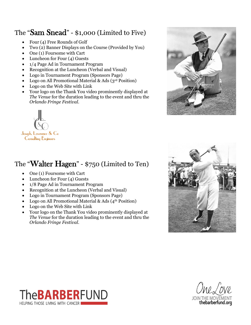## The "Sam Snead" - \$1,000 (Limited to Five)

- Four (4) Free Rounds of Golf
- Two (2) Banner Displays on the Course (Provided by You)
- One (1) Foursome with Cart
- Luncheon for Four (4) Guests
- 1/4 Page Ad in Tournament Program
- Recognition at the Luncheon (Verbal and Visual)
- Logo in Tournament Program (Sponsors Page)
- Logo on All Promotional Material & Ads (3<sup>rd</sup> Position)
- Logo on the Web Site with Link
- Your logo on the Thank You video prominently displayed at *The [Venue](http://www.thevenueorlando.com/)* for the duration leading to the event and thru the *[Orlando](http://www.orlandofringe.org/) Fringe Festival*.



## The "Walter Hagen" - \$750 (Limited to Ten)

- One (1) Foursome with Cart
- Luncheon for Four (4) Guests
- 1/8 Page Ad in Tournament Program
- Recognition at the Luncheon (Verbal and Visual)
- Logo in Tournament Program (Sponsors Page)
- Logo on All Promotional Material & Ads  $(4<sup>th</sup> Position)$
- Logo on the Web Site with Link
- Your logo on the Thank You video prominently displayed at *The [Venue](http://www.thevenueorlando.com/)* for the duration leading to the event and thru the *[Orlando](http://www.orlandofringe.org/) Fringe Festival*.







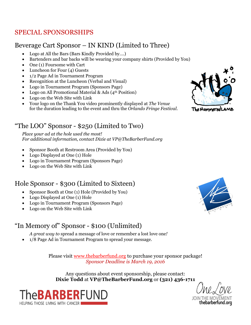### SPECIAL SPONSORSHIPS

#### Beverage Cart Sponsor – IN KIND (Limited to Three)

- Logo at All the Bars (Bars Kindly Provided by….)
- Bartenders and bar backs will be wearing your company shirts (Provided by You)
- One (1) Foursome with Cart
- Luncheon for Four (4) Guests
- 1/2 Page Ad in Tournament Program
- Recognition at the Luncheon (Verbal and Visual)
- Logo in Tournament Program (Sponsors Page)
- Logo on All Promotional Material & Ads  $(4<sup>th</sup> Position)$
- Logo on the Web Site with Link
- Your logo on the Thank You video prominently displayed at *The [Venue](http://www.thevenueorlando.com/)* for the duration leading to the event and thru the *[Orlando](http://www.orlandofringe.org/) Fringe Festival*.

#### "The LOO" Sponsor - \$250 (Limited to Two)

*Place your ad at the hole used the most! For additional information, contact Dixie at VP@TheBarberFund.org*

- Sponsor Booth at Restroom Area (Provided by You)
- Logo Displayed at One (1) Hole
- Logo in Tournament Program (Sponsors Page)
- Logo on the Web Site with Link

#### Hole Sponsor - \$300 (Limited to Sixteen)

- Sponsor Booth at One (1) Hole (Provided by You)
- Logo Displayed at One (1) Hole
- Logo in Tournament Program (Sponsors Page)
- Logo on the Web Site with Link

#### "In Memory of" Sponsor - \$100 (Unlimited)

*A great way to* spread a message of love or remember a lost love one*!*

1/8 Page Ad in Tournament Program to spread your message.

Please visit www.thebarberfund.org to purchase your sponsor package! *Sponsor Deadline is March 19, 2016*

Any questions about event sponsorship, please contact: **Dixie Todd** at **VP@TheBarberFund.org** or **(321) 436-1711**





The Hammeredi



**JOIN** thebarberfund.org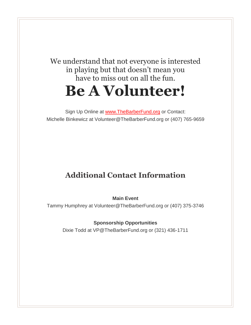## We understand that not everyone is interested in playing but that doesn't mean you have to miss out on all the fun. **Be A Volunteer!**

Sign Up Online at [www.TheBarberFund.org](http://www.thebarberfund.org/) or Contact: Michelle Binkewicz at Volunteer@TheBarberFund.org or (407) 765-9659

## **Additional Contact Information**

**Main Event**

Tammy Humphrey at Volunteer@TheBarberFund.org or (407) 375-3746

**Sponsorship Opportunities**

Dixie Todd at VP@TheBarberFund.org or (321) 436-1711